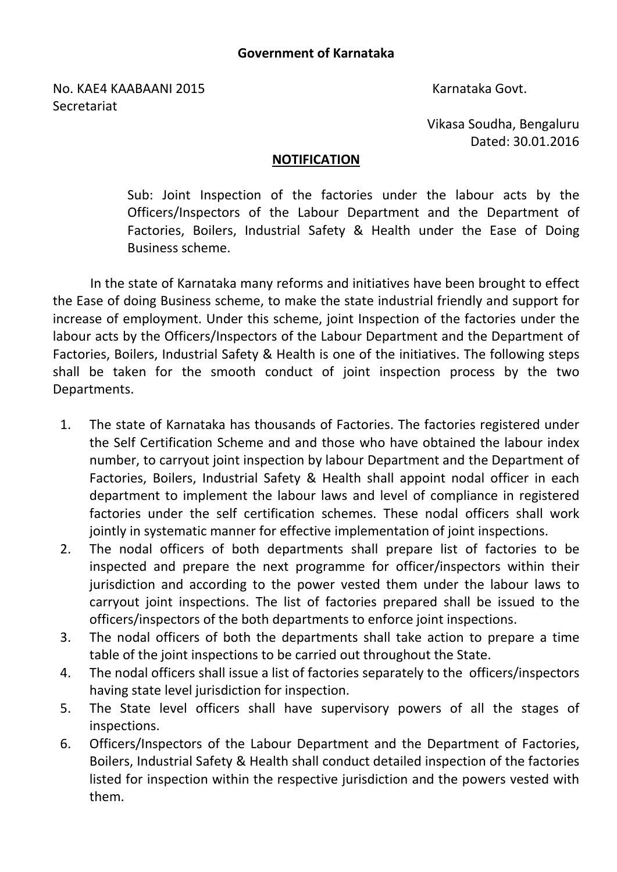No. KAE4 KAABAANI 2015 Karnataka Govt. **Secretariat** 

Vikasa Soudha, Bengaluru Dated: 30.01.2016

## NOTIFICATION

Sub: Joint Inspection of the factories under the labour acts by the Officers/Inspectors of the Labour Department and the Department of Factories, Boilers, Industrial Safety & Health under the Ease of Doing Business scheme.

In the state of Karnataka many reforms and initiatives have been brought to effect the Ease of doing Business scheme, to make the state industrial friendly and support for increase of employment. Under this scheme, joint Inspection of the factories under the labour acts by the Officers/Inspectors of the Labour Department and the Department of Factories, Boilers, Industrial Safety & Health is one of the initiatives. The following steps shall be taken for the smooth conduct of joint inspection process by the two Departments.

- 1. The state of Karnataka has thousands of Factories. The factories registered under the Self Certification Scheme and and those who have obtained the labour index number, to carryout joint inspection by labour Department and the Department of Factories, Boilers, Industrial Safety & Health shall appoint nodal officer in each department to implement the labour laws and level of compliance in registered factories under the self certification schemes. These nodal officers shall work jointly in systematic manner for effective implementation of joint inspections.
- 2. The nodal officers of both departments shall prepare list of factories to be inspected and prepare the next programme for officer/inspectors within their jurisdiction and according to the power vested them under the labour laws to carryout joint inspections. The list of factories prepared shall be issued to the officers/inspectors of the both departments to enforce joint inspections.
- 3. The nodal officers of both the departments shall take action to prepare a time table of the joint inspections to be carried out throughout the State.
- 4. The nodal officers shall issue a list of factories separately to the officers/inspectors having state level jurisdiction for inspection.
- 5. The State level officers shall have supervisory powers of all the stages of inspections.
- 6. Officers/Inspectors of the Labour Department and the Department of Factories, Boilers, Industrial Safety & Health shall conduct detailed inspection of the factories listed for inspection within the respective jurisdiction and the powers vested with them.